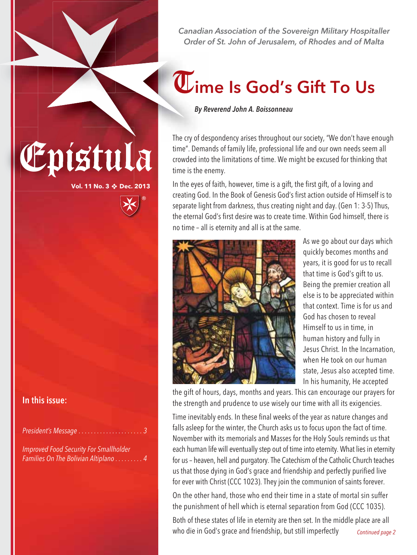

## $\overline{\mathbf{U}}$ ime Is God's Gift To Us

*By Reverend John A. Boissonneau*

The cry of despondency arises throughout our society, "We don't have enough<br>time". Demands of family life, professional life and our own needs seem all<br>crowded into the limitations of time. We might be excused for thinking time". Demands of family life, professional life and our own needs seem all crowded into the limitations of time. We might be excused for thinking that time is the enemy.

> In the eyes of faith, however, time is a gift, the first gift, of a loving and creating God. In the Book of Genesis God's first action outside of Himself is to separate light from darkness, thus creating night and day. (Gen 1: 3-5) Thus, the eternal God's first desire was to create time. Within God himself, there is no time – all is eternity and all is at the same.



As we go about our days which quickly becomes months and years, it is good for us to recall that time is God's gift to us. Being the premier creation all else is to be appreciated within that context. Time is for us and God has chosen to reveal Himself to us in time, in human history and fully in Jesus Christ. In the Incarnation, when He took on our human state, Jesus also accepted time. In his humanity, He accepted

the gift of hours, days, months and years. This can encourage our prayers for the strength and prudence to use wisely our time with all its exigencies.

Time inevitably ends. In these final weeks of the year as nature changes and falls asleep for the winter, the Church asks us to focus upon the fact of time. November with its memorials and Masses for the Holy Souls reminds us that each human life will eventually step out of time into eternity. What lies in eternity for us – heaven, hell and purgatory. The Catechism of the Catholic Church teaches us that those dying in God's grace and friendship and perfectly purified live for ever with Christ (CCC 1023). They join the communion of saints forever.

On the other hand, those who end their time in a state of mortal sin suffer the punishment of hell which is eternal separation from God (CCC 1035).

Both of these states of life in eternity are then set. In the middle place are all who die in God's grace and friendship, but still imperfectly Continued page 2

In this issue:

President's Message . . . . . . . . . . . .

**Vol. 11 No. 3** ❖ **Dec. 2013**

Improved Food Security For Smallholder Families On The Bolivian Altiplano . . . . . . . . . 4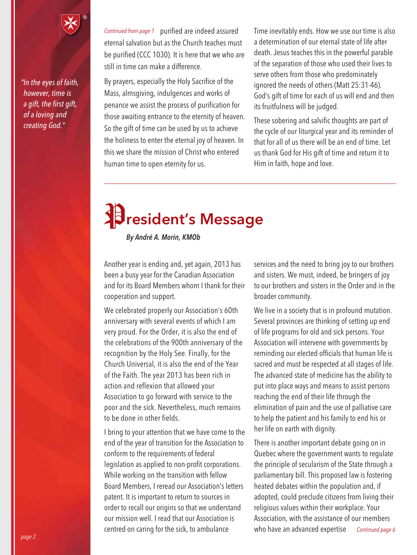*"In the eyes of faith, however, time is a gift, the first gift, of a loving and creating God."*

Continued from page 1 purified are indeed assured eternal salvation but as the Church teaches must be purified (CCC 1030). It is here that we who are still in time can make a difference.

By prayers, especially the Holy Sacrifice of the Mass, almsgiving, indulgences and works of penance we assist the process of purification for those awaiting entrance to the eternity of heaven. So the gift of time can be used by us to achieve the holiness to enter the eternal joy of heaven. In this we share the mission of Christ who entered human time to open eternity for us.

Time inevitably ends. How we use our time is also a determination of our eternal state of life after death. Jesus teaches this in the powerful parable of the separation of those who used their lives to serve others from those who predominately ignored the needs of others (Matt 25:31-46). God's gift of time for each of us will end and then its fruitfulness will be judged.

These sobering and salvific thoughts are part of the cycle of our liturgical year and its reminder of that for all of us there will be an end of time. Let us thank God for His gift of time and return it to Him in faith, hope and love.

## President's Message

*By André A. Morin, KMOb*

Another year is ending and, yet again, 2013 has been a busy year for the Canadian Association and for its Board Members whom I thank for their cooperation and support.

We celebrated properly our Association's 60th anniversary with several events of which I am very proud. For the Order, it is also the end of the celebrations of the 900th anniversary of the recognition by the Holy See. Finally, for the Church Universal, it is also the end of the Year of the Faith. The year 2013 has been rich in action and reflexion that allowed your Association to go forward with service to the poor and the sick. Nevertheless, much remains to be done in other fields.

I bring to your attention that we have come to the end of the year of transition for the Association to conform to the requirements of federal legislation as applied to non-profit corporations. While working on the transition with fellow Board Members, I reread our Association's letters patent. It is important to return to sources in order to recall our origins so that we understand our mission well. I read that our Association is centred on caring for the sick, to ambulance

services and the need to bring joy to our brothers and sisters. We must, indeed, be bringers of joy to our brothers and sisters in the Order and in the broader community.

We live in a society that is in profound mutation. Several provinces are thinking of setting up end of life programs for old and sick persons. Your Association will intervene with governments by reminding our elected officials that human life is sacred and must be respected at all stages of life. The advanced state of medicine has the ability to put into place ways and means to assist persons reaching the end of their life through the elimination of pain and the use of palliative care to help the patient and his family to end his or her life on earth with dignity.

There is another important debate going on in Quebec where the government wants to regulate the principle of secularism of the State through a parliamentary bill. This proposed law is fostering heated debates within the population and, if adopted, could preclude citizens from living their religious values within their workplace. Your Association, with the assistance of our members who have an advanced expertise *Continued page 6*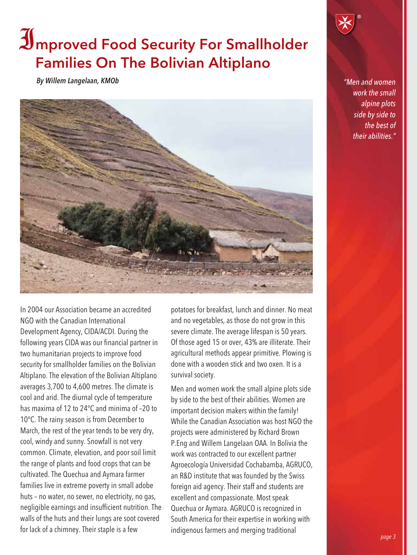## Improved Food Security For Smallholder Families On The Bolivian Altiplano

*By Willem Langelaan, KMOb*



*"Men and women work the small alpine plots side by side to the best of their abilities."*

In 2004 our Association became an accredited NGO with the Canadian International Development Agency, CIDA/ACDI. During the following years CIDA was our financial partner in two humanitarian projects to improve food security for smallholder families on the Bolivian Altiplano. The elevation of the Bolivian Altiplano averages 3,700 to 4,600 metres. The climate is cool and arid. The diurnal cycle of temperature has maxima of 12 to 24°C and minima of –20 to 10°C. The rainy season is from December to March, the rest of the year tends to be very dry, cool, windy and sunny. Snowfall is not very common. Climate, elevation, and poor soil limit the range of plants and food crops that can be cultivated. The Quechua and Aymara farmer families live in extreme poverty in small adobe huts – no water, no sewer, no electricity, no gas, negligible earnings and insufficient nutrition. The walls of the huts and their lungs are soot covered for lack of a chimney. Their staple is a few

potatoes for breakfast, lunch and dinner. No meat and no vegetables, as those do not grow in this severe climate. The average lifespan is 50 years. Of those aged 15 or over, 43% are illiterate. Their agricultural methods appear primitive. Plowing is done with a wooden stick and two oxen. It is a survival society.

Men and women work the small alpine plots side by side to the best of their abilities. Women are important decision makers within the family! While the Canadian Association was host NGO the projects were administered by Richard Brown P.Eng and Willem Langelaan OAA. In Bolivia the work was contracted to our excellent partner Agroecología Universidad Cochabamba, AGRUCO, an R&D institute that was founded by the Swiss foreign aid agency. Their staff and students are excellent and compassionate. Most speak Quechua or Aymara. AGRUCO is recognized in South America for their expertise in working with indigenous farmers and merging traditional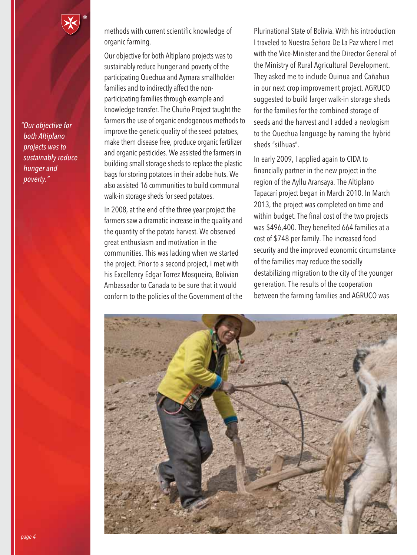*"Our objective for both Altiplano projects was to sustainably reduce hunger and poverty."*

methods with current scientific knowledge of organic farming.

Our objective for both Altiplano projects was to sustainably reduce hunger and poverty of the participating Quechua and Aymara smallholder families and to indirectly affect the nonparticipating families through example and knowledge transfer. The Chuño Project taught the farmers the use of organic endogenous methods to improve the genetic quality of the seed potatoes, make them disease free, produce organic fertilizer and organic pesticides. We assisted the farmers in building small storage sheds to replace the plastic bags for storing potatoes in their adobe huts. We also assisted 16 communities to build communal walk-in storage sheds for seed potatoes.

In 2008, at the end of the three year project the farmers saw a dramatic increase in the quality and the quantity of the potato harvest. We observed great enthusiasm and motivation in the communities. This was lacking when we started the project. Prior to a second project, I met with his Excellency Edgar Torrez Mosqueira, Bolivian Ambassador to Canada to be sure that it would conform to the policies of the Government of the

Plurinational State of Bolivia. With his introduction I traveled to Nuestra Señora De La Paz where I met with the Vice-Minister and the Director General of the Ministry of Rural Agricultural Development. They asked me to include Quinua and Cañahua in our next crop improvement project. AGRUCO suggested to build larger walk-in storage sheds for the families for the combined storage of seeds and the harvest and I added a neologism to the Quechua language by naming the hybrid sheds "silhuas".

In early 2009, I applied again to CIDA to financially partner in the new project in the region of the Ayllu Aransaya. The Altiplano Tapacarí project began in March 2010. In March 2013, the project was completed on time and within budget. The final cost of the two projects was \$496,400. They benefited 664 families at a cost of \$748 per family. The increased food security and the improved economic circumstance of the families may reduce the socially destabilizing migration to the city of the younger generation. The results of the cooperation between the farming families and AGRUCO was

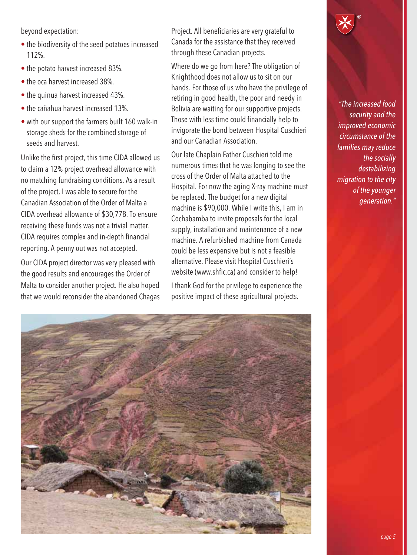beyond expectation:

- the biodiversity of the seed potatoes increased 112%.
- the potato harvest increased 83%.
- the oca harvest increased 38%.
- the quinua harvest increased 43%.
- the cañahua harvest increased 13%.
- with our support the farmers built 160 walk-in storage sheds for the combined storage of seeds and harvest.

Unlike the first project, this time CIDA allowed us to claim a 12% project overhead allowance with no matching fundraising conditions. As a result of the project, I was able to secure for the Canadian Association of the Order of Malta a CIDA overhead allowance of \$30,778. To ensure receiving these funds was not a trivial matter. CIDA requires complex and in-depth financial reporting. A penny out was not accepted.

Our CIDA project director was very pleased with the good results and encourages the Order of Malta to consider another project. He also hoped that we would reconsider the abandoned Chagas Project. All beneficiaries are very grateful to Canada for the assistance that they received through these Canadian projects.

Where do we go from here? The obligation of Knighthood does not allow us to sit on our hands. For those of us who have the privilege of retiring in good health, the poor and needy in Bolivia are waiting for our supportive projects. Those with less time could financially help to invigorate the bond between Hospital Cuschieri and our Canadian Association.

Our late Chaplain Father Cuschieri told me numerous times that he was longing to see the cross of the Order of Malta attached to the Hospital. For now the aging X-ray machine must be replaced. The budget for a new digital machine is \$90,000. While I write this, I am in Cochabamba to invite proposals for the local supply, installation and maintenance of a new machine. A refurbished machine from Canada could be less expensive but is not a feasible alternative. Please visit Hospital Cuschieri's website (www.shfic.ca) and consider to help!

I thank God for the privilege to experience the positive impact of these agricultural projects.